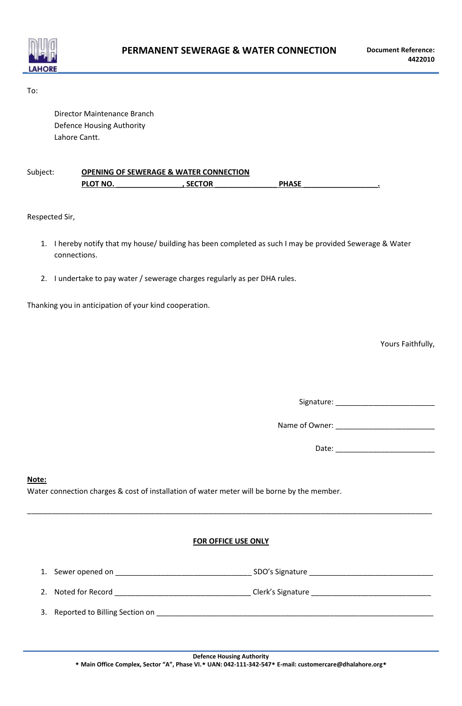

To:

Director Maintenance Branch Defence Housing Authority Lahore Cantt.

| Subject: | <b>OPENING OF SEWERAGE &amp; WATER CONNECTION</b> |               |              |  |
|----------|---------------------------------------------------|---------------|--------------|--|
|          | <b>PLOT NO.</b>                                   | <b>SECTOR</b> | <b>PHASE</b> |  |

Respected Sir,

- 1. I hereby notify that my house/ building has been completed as such I may be provided Sewerage & Water connections.
- 2. I undertake to pay water / sewerage charges regularly as per DHA rules.

Thanking you in anticipation of your kind cooperation.

Yours Faithfully,

Signature: \_\_\_\_\_\_\_\_\_\_\_\_\_\_\_\_\_\_\_\_\_\_\_\_

Name of Owner: \_\_\_\_\_\_\_\_\_\_\_\_\_\_\_\_\_\_\_\_\_\_\_\_

Date: \_\_\_\_\_\_\_\_\_\_\_\_\_\_\_\_\_\_\_\_\_\_\_\_

## **Note:**

Water connection charges & cost of installation of water meter will be borne by the member.

## **FOR OFFICE USE ONLY**

\_\_\_\_\_\_\_\_\_\_\_\_\_\_\_\_\_\_\_\_\_\_\_\_\_\_\_\_\_\_\_\_\_\_\_\_\_\_\_\_\_\_\_\_\_\_\_\_\_\_\_\_\_\_\_\_\_\_\_\_\_\_\_\_\_\_\_\_\_\_\_\_\_\_\_\_\_\_\_\_\_\_\_\_\_\_\_\_\_\_\_\_\_\_\_\_\_\_

| $\overline{ }$<br>Τ. | Sewer opened on | SDO's Signature |  |
|----------------------|-----------------|-----------------|--|
|                      |                 |                 |  |

2. Noted for Record \_\_\_\_\_\_\_\_\_\_\_\_\_\_\_\_\_\_\_\_\_\_\_\_\_\_\_\_\_\_\_\_\_ Clerk's Signature \_\_\_\_\_\_\_\_\_\_\_\_\_\_\_\_\_\_\_\_\_\_\_\_\_\_\_\_\_

3. Reported to Billing Section on \_\_\_\_\_\_\_\_